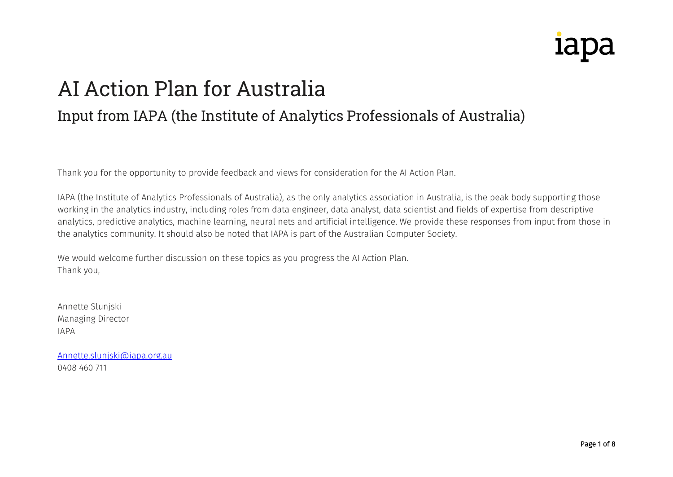## **IdDc**

## AI Action Plan for Australia

## Input from IAPA (the Institute of Analytics Professionals of Australia)

Thank you for the opportunity to provide feedback and views for consideration for the AI Action Plan.

IAPA (the Institute of Analytics Professionals of Australia), as the only analytics association in Australia, is the peak body supporting those working in the analytics industry, including roles from data engineer, data analyst, data scientist and fields of expertise from descriptive analytics, predictive analytics, machine learning, neural nets and artificial intelligence. We provide these responses from input from those in the analytics community. It should also be noted that IAPA is part of the Australian Computer Society.

We would welcome further discussion on these topics as you progress the AI Action Plan. Thank you,

Annette Slunjski Managing Director IAPA

[Annette.slunjski@iapa.org.au](mailto:Annette.slunjski@iapa.org.au) 0408 460 711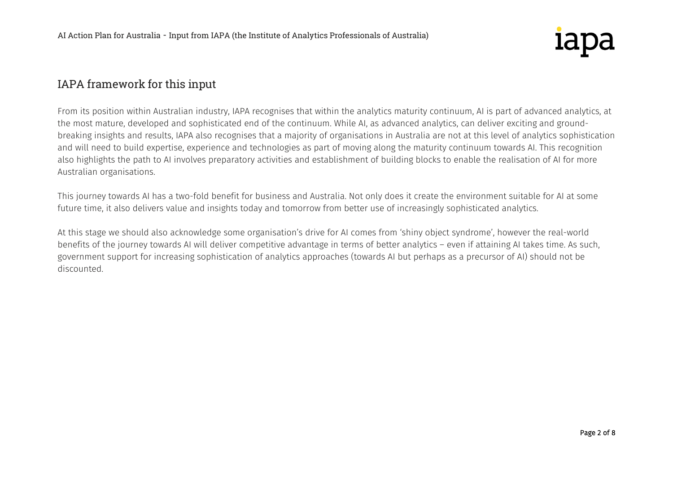

## IAPA framework for this input

From its position within Australian industry, IAPA recognises that within the analytics maturity continuum, AI is part of advanced analytics, at the most mature, developed and sophisticated end of the continuum. While AI, as advanced analytics, can deliver exciting and groundbreaking insights and results, IAPA also recognises that a majority of organisations in Australia are not at this level of analytics sophistication and will need to build expertise, experience and technologies as part of moving along the maturity continuum towards AI. This recognition also highlights the path to AI involves preparatory activities and establishment of building blocks to enable the realisation of AI for more Australian organisations.

This journey towards AI has a two-fold benefit for business and Australia. Not only does it create the environment suitable for AI at some future time, it also delivers value and insights today and tomorrow from better use of increasingly sophisticated analytics.

At this stage we should also acknowledge some organisation's drive for AI comes from 'shiny object syndrome', however the real-world benefits of the journey towards AI will deliver competitive advantage in terms of better analytics – even if attaining AI takes time. As such, government support for increasing sophistication of analytics approaches (towards AI but perhaps as a precursor of AI) should not be discounted.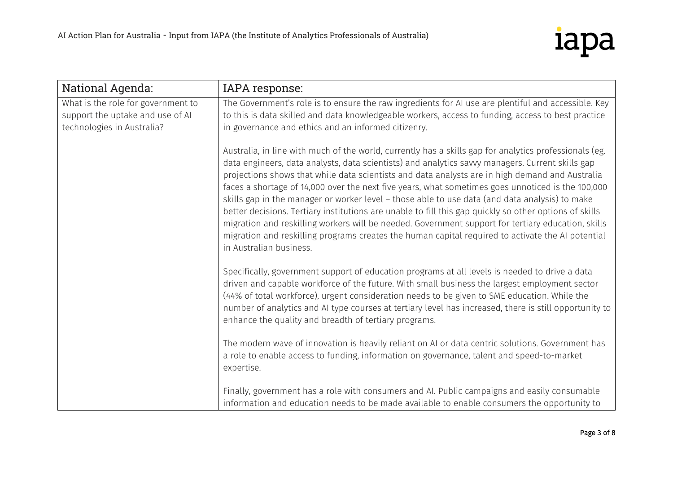

| National Agenda:                                                                                     | IAPA response:                                                                                                                                                                                                                                                                                                                                                                                                                                                                                                                                                                                                                                                                                                                                                                                                                                                       |
|------------------------------------------------------------------------------------------------------|----------------------------------------------------------------------------------------------------------------------------------------------------------------------------------------------------------------------------------------------------------------------------------------------------------------------------------------------------------------------------------------------------------------------------------------------------------------------------------------------------------------------------------------------------------------------------------------------------------------------------------------------------------------------------------------------------------------------------------------------------------------------------------------------------------------------------------------------------------------------|
| What is the role for government to<br>support the uptake and use of AI<br>technologies in Australia? | The Government's role is to ensure the raw ingredients for AI use are plentiful and accessible. Key<br>to this is data skilled and data knowledgeable workers, access to funding, access to best practice<br>in governance and ethics and an informed citizenry.                                                                                                                                                                                                                                                                                                                                                                                                                                                                                                                                                                                                     |
|                                                                                                      | Australia, in line with much of the world, currently has a skills gap for analytics professionals (eg.<br>data engineers, data analysts, data scientists) and analytics savvy managers. Current skills gap<br>projections shows that while data scientists and data analysts are in high demand and Australia<br>faces a shortage of 14,000 over the next five years, what sometimes goes unnoticed is the 100,000<br>skills gap in the manager or worker level - those able to use data (and data analysis) to make<br>better decisions. Tertiary institutions are unable to fill this gap quickly so other options of skills<br>migration and reskilling workers will be needed. Government support for tertiary education, skills<br>migration and reskilling programs creates the human capital required to activate the AI potential<br>in Australian business. |
|                                                                                                      | Specifically, government support of education programs at all levels is needed to drive a data<br>driven and capable workforce of the future. With small business the largest employment sector<br>(44% of total workforce), urgent consideration needs to be given to SME education. While the<br>number of analytics and AI type courses at tertiary level has increased, there is still opportunity to<br>enhance the quality and breadth of tertiary programs.                                                                                                                                                                                                                                                                                                                                                                                                   |
|                                                                                                      | The modern wave of innovation is heavily reliant on AI or data centric solutions. Government has<br>a role to enable access to funding, information on governance, talent and speed-to-market<br>expertise.                                                                                                                                                                                                                                                                                                                                                                                                                                                                                                                                                                                                                                                          |
|                                                                                                      | Finally, government has a role with consumers and AI. Public campaigns and easily consumable<br>information and education needs to be made available to enable consumers the opportunity to                                                                                                                                                                                                                                                                                                                                                                                                                                                                                                                                                                                                                                                                          |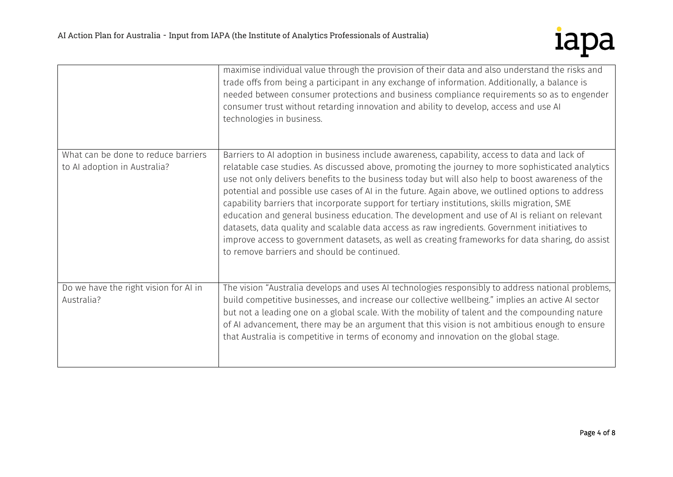

|                                                                     | maximise individual value through the provision of their data and also understand the risks and<br>trade offs from being a participant in any exchange of information. Additionally, a balance is<br>needed between consumer protections and business compliance requirements so as to engender<br>consumer trust without retarding innovation and ability to develop, access and use AI<br>technologies in business.                                                                                                                                                                                                                                                                                                                                                                                                                                                |
|---------------------------------------------------------------------|----------------------------------------------------------------------------------------------------------------------------------------------------------------------------------------------------------------------------------------------------------------------------------------------------------------------------------------------------------------------------------------------------------------------------------------------------------------------------------------------------------------------------------------------------------------------------------------------------------------------------------------------------------------------------------------------------------------------------------------------------------------------------------------------------------------------------------------------------------------------|
| What can be done to reduce barriers<br>to AI adoption in Australia? | Barriers to AI adoption in business include awareness, capability, access to data and lack of<br>relatable case studies. As discussed above, promoting the journey to more sophisticated analytics<br>use not only delivers benefits to the business today but will also help to boost awareness of the<br>potential and possible use cases of AI in the future. Again above, we outlined options to address<br>capability barriers that incorporate support for tertiary institutions, skills migration, SME<br>education and general business education. The development and use of AI is reliant on relevant<br>datasets, data quality and scalable data access as raw ingredients. Government initiatives to<br>improve access to government datasets, as well as creating frameworks for data sharing, do assist<br>to remove barriers and should be continued. |
| Do we have the right vision for AI in<br>Australia?                 | The vision "Australia develops and uses AI technologies responsibly to address national problems,<br>build competitive businesses, and increase our collective wellbeing." implies an active AI sector<br>but not a leading one on a global scale. With the mobility of talent and the compounding nature<br>of AI advancement, there may be an argument that this vision is not ambitious enough to ensure<br>that Australia is competitive in terms of economy and innovation on the global stage.                                                                                                                                                                                                                                                                                                                                                                 |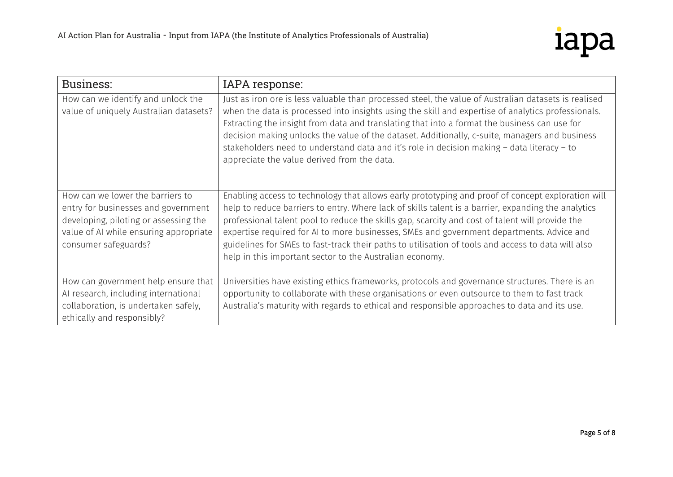

| Business:                                                                                                                                                                          | IAPA response:                                                                                                                                                                                                                                                                                                                                                                                                                                                                                                                                                             |
|------------------------------------------------------------------------------------------------------------------------------------------------------------------------------------|----------------------------------------------------------------------------------------------------------------------------------------------------------------------------------------------------------------------------------------------------------------------------------------------------------------------------------------------------------------------------------------------------------------------------------------------------------------------------------------------------------------------------------------------------------------------------|
| How can we identify and unlock the<br>value of uniquely Australian datasets?                                                                                                       | Just as iron ore is less valuable than processed steel, the value of Australian datasets is realised<br>when the data is processed into insights using the skill and expertise of analytics professionals.<br>Extracting the insight from data and translating that into a format the business can use for<br>decision making unlocks the value of the dataset. Additionally, c-suite, managers and business<br>stakeholders need to understand data and it's role in decision making - data literacy - to<br>appreciate the value derived from the data.                  |
| How can we lower the barriers to<br>entry for businesses and government<br>developing, piloting or assessing the<br>value of AI while ensuring appropriate<br>consumer safeguards? | Enabling access to technology that allows early prototyping and proof of concept exploration will<br>help to reduce barriers to entry. Where lack of skills talent is a barrier, expanding the analytics<br>professional talent pool to reduce the skills gap, scarcity and cost of talent will provide the<br>expertise required for AI to more businesses, SMEs and government departments. Advice and<br>guidelines for SMEs to fast-track their paths to utilisation of tools and access to data will also<br>help in this important sector to the Australian economy. |
| How can government help ensure that<br>AI research, including international<br>collaboration, is undertaken safely,<br>ethically and responsibly?                                  | Universities have existing ethics frameworks, protocols and governance structures. There is an<br>opportunity to collaborate with these organisations or even outsource to them to fast track<br>Australia's maturity with regards to ethical and responsible approaches to data and its use.                                                                                                                                                                                                                                                                              |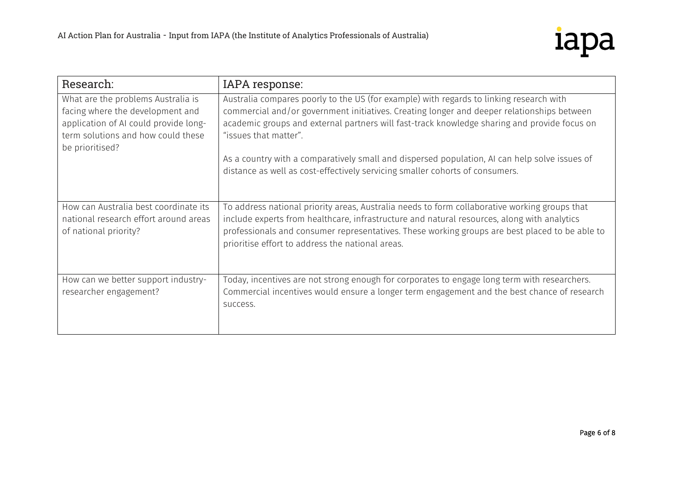

| Research:                                                                                                                                                                | IAPA response:                                                                                                                                                                                                                                                                                                                                                                                                                                                                                  |
|--------------------------------------------------------------------------------------------------------------------------------------------------------------------------|-------------------------------------------------------------------------------------------------------------------------------------------------------------------------------------------------------------------------------------------------------------------------------------------------------------------------------------------------------------------------------------------------------------------------------------------------------------------------------------------------|
| What are the problems Australia is<br>facing where the development and<br>application of AI could provide long-<br>term solutions and how could these<br>be prioritised? | Australia compares poorly to the US (for example) with regards to linking research with<br>commercial and/or government initiatives. Creating longer and deeper relationships between<br>academic groups and external partners will fast-track knowledge sharing and provide focus on<br>"issues that matter".<br>As a country with a comparatively small and dispersed population, AI can help solve issues of<br>distance as well as cost-effectively servicing smaller cohorts of consumers. |
| How can Australia best coordinate its<br>national research effort around areas<br>of national priority?                                                                  | To address national priority areas, Australia needs to form collaborative working groups that<br>include experts from healthcare, infrastructure and natural resources, along with analytics<br>professionals and consumer representatives. These working groups are best placed to be able to<br>prioritise effort to address the national areas.                                                                                                                                              |
| How can we better support industry-<br>researcher engagement?                                                                                                            | Today, incentives are not strong enough for corporates to engage long term with researchers.<br>Commercial incentives would ensure a longer term engagement and the best chance of research<br>success.                                                                                                                                                                                                                                                                                         |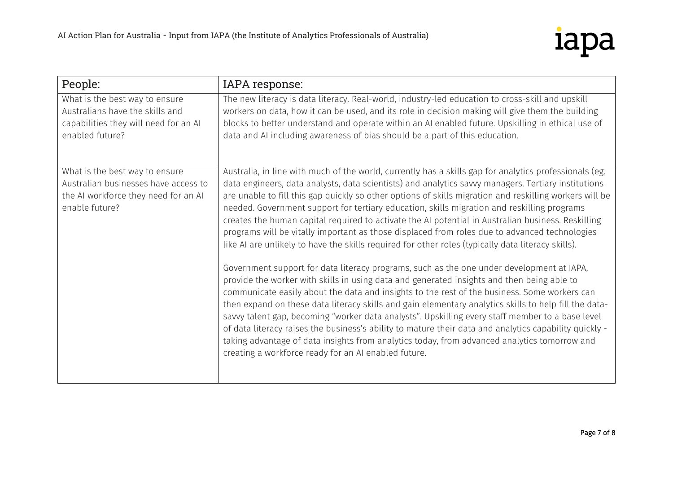

| People:                                                                                                                          | IAPA response:                                                                                                                                                                                                                                                                                                                                                                                                                                                                                                                                                                                                                                                                                                                                                                                                                                                                                                                                                                                                                                                                                                                                                                                                                                                                                                                                                                                                                                                                                                 |
|----------------------------------------------------------------------------------------------------------------------------------|----------------------------------------------------------------------------------------------------------------------------------------------------------------------------------------------------------------------------------------------------------------------------------------------------------------------------------------------------------------------------------------------------------------------------------------------------------------------------------------------------------------------------------------------------------------------------------------------------------------------------------------------------------------------------------------------------------------------------------------------------------------------------------------------------------------------------------------------------------------------------------------------------------------------------------------------------------------------------------------------------------------------------------------------------------------------------------------------------------------------------------------------------------------------------------------------------------------------------------------------------------------------------------------------------------------------------------------------------------------------------------------------------------------------------------------------------------------------------------------------------------------|
| What is the best way to ensure<br>Australians have the skills and<br>capabilities they will need for an AI<br>enabled future?    | The new literacy is data literacy. Real-world, industry-led education to cross-skill and upskill<br>workers on data, how it can be used, and its role in decision making will give them the building<br>blocks to better understand and operate within an AI enabled future. Upskilling in ethical use of<br>data and AI including awareness of bias should be a part of this education.                                                                                                                                                                                                                                                                                                                                                                                                                                                                                                                                                                                                                                                                                                                                                                                                                                                                                                                                                                                                                                                                                                                       |
| What is the best way to ensure<br>Australian businesses have access to<br>the AI workforce they need for an AI<br>enable future? | Australia, in line with much of the world, currently has a skills gap for analytics professionals (eg.<br>data engineers, data analysts, data scientists) and analytics savvy managers. Tertiary institutions<br>are unable to fill this gap quickly so other options of skills migration and reskilling workers will be<br>needed. Government support for tertiary education, skills migration and reskilling programs<br>creates the human capital required to activate the AI potential in Australian business. Reskilling<br>programs will be vitally important as those displaced from roles due to advanced technologies<br>like AI are unlikely to have the skills required for other roles (typically data literacy skills).<br>Government support for data literacy programs, such as the one under development at IAPA,<br>provide the worker with skills in using data and generated insights and then being able to<br>communicate easily about the data and insights to the rest of the business. Some workers can<br>then expand on these data literacy skills and gain elementary analytics skills to help fill the data-<br>savvy talent gap, becoming "worker data analysts". Upskilling every staff member to a base level<br>of data literacy raises the business's ability to mature their data and analytics capability quickly -<br>taking advantage of data insights from analytics today, from advanced analytics tomorrow and<br>creating a workforce ready for an AI enabled future. |
|                                                                                                                                  |                                                                                                                                                                                                                                                                                                                                                                                                                                                                                                                                                                                                                                                                                                                                                                                                                                                                                                                                                                                                                                                                                                                                                                                                                                                                                                                                                                                                                                                                                                                |